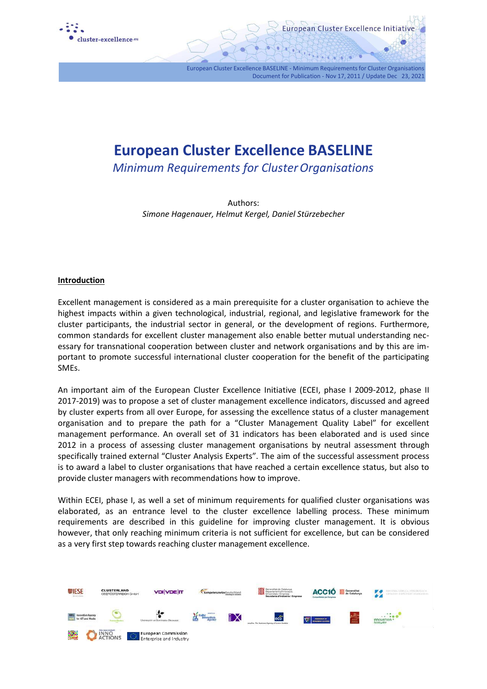



# **European Cluster Excellence BASELINE**

*Minimum Requirements for ClusterOrganisations*

Authors: *Simone Hagenauer, Helmut Kergel, Daniel Stürzebecher*

# **Introduction**

Excellent management is considered as a main prerequisite for a cluster organisation to achieve the highest impacts within a given technological, industrial, regional, and legislative framework for the cluster participants, the industrial sector in general, or the development of regions. Furthermore, common standards for excellent cluster management also enable better mutual understanding necessary for transnational cooperation between cluster and network organisations and by this are important to promote successful international cluster cooperation for the benefit of the participating SMEs.

An important aim of the European Cluster Excellence Initiative (ECEI, phase I 2009-2012, phase II 2017-2019) was to propose a set of cluster management excellence indicators, discussed and agreed by cluster experts from all over Europe, for assessing the excellence status of a cluster management organisation and to prepare the path for a "Cluster Management Quality Label" for excellent management performance. An overall set of 31 indicators has been elaborated and is used since 2012 in a process of assessing cluster management organisations by neutral assessment through specifically trained external "Cluster Analysis Experts". The aim of the successful assessment process is to award a label to cluster organisations that have reached a certain excellence status, but also to provide cluster managers with recommendations how to improve.

Within ECEI, phase I, as well a set of minimum requirements for qualified cluster organisations was elaborated, as an entrance level to the cluster excellence labelling process. These minimum requirements are described in this guideline for improving cluster management. It is obvious however, that only reaching minimum criteria is not sufficient for excellence, but can be considered as a very first step towards reaching cluster management excellence.

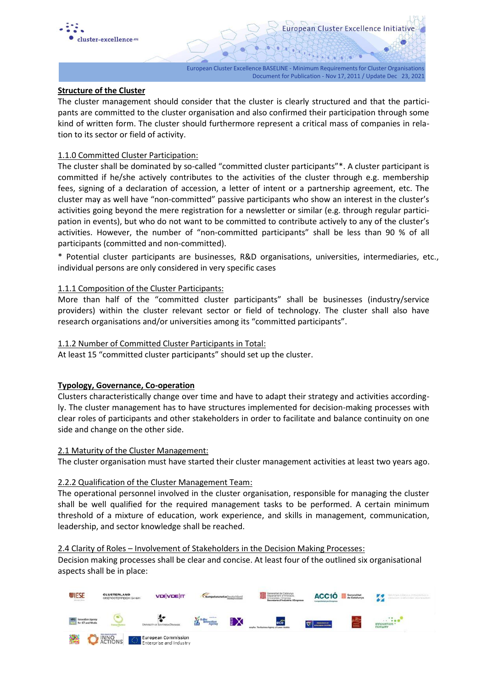

European Cluster Excellence BASELINE - Minimum Requirements for Cluster Organisation Document for Publication - Nov 17, 2011 / Update Dec 23, 2021

European Cluster Excellence Initiative

# **Structure of the Cluster**

The cluster management should consider that the cluster is clearly structured and that the participants are committed to the cluster organisation and also confirmed their participation through some kind of written form. The cluster should furthermore represent a critical mass of companies in relation to its sector or field of activity.

# 1.1.0 Committed Cluster Participation:

The cluster shall be dominated by so-called "committed cluster participants"\*. A cluster participant is committed if he/she actively contributes to the activities of the cluster through e.g. membership fees, signing of a declaration of accession, a letter of intent or a partnership agreement, etc. The cluster may as well have "non-committed" passive participants who show an interest in the cluster's activities going beyond the mere registration for a newsletter or similar (e.g. through regular participation in events), but who do not want to be committed to contribute actively to any of the cluster's activities. However, the number of "non-committed participants" shall be less than 90 % of all participants (committed and non-committed).

\* Potential cluster participants are businesses, R&D organisations, universities, intermediaries, etc., individual persons are only considered in very specific cases

# 1.1.1 Composition of the Cluster Participants:

More than half of the "committed cluster participants" shall be businesses (industry/service providers) within the cluster relevant sector or field of technology. The cluster shall also have research organisations and/or universities among its "committed participants".

# 1.1.2 Number of Committed Cluster Participants in Total:

At least 15 "committed cluster participants" should set up the cluster.

# **Typology, Governance, Co-operation**

Clusters characteristically change over time and have to adapt their strategy and activities accordingly. The cluster management has to have structures implemented for decision-making processes with clear roles of participants and other stakeholders in order to facilitate and balance continuity on one side and change on the other side.

## 2.1 Maturity of the Cluster Management:

The cluster organisation must have started their cluster management activities at least two years ago.

## 2.2.2 Qualification of the Cluster Management Team:

The operational personnel involved in the cluster organisation, responsible for managing the cluster shall be well qualified for the required management tasks to be performed. A certain minimum threshold of a mixture of education, work experience, and skills in management, communication, leadership, and sector knowledge shall be reached.

## 2.4 Clarity of Roles – Involvement of Stakeholders in the Decision Making Processes:

Decision making processes shall be clear and concise. At least four of the outlined six organisational aspects shall be in place:

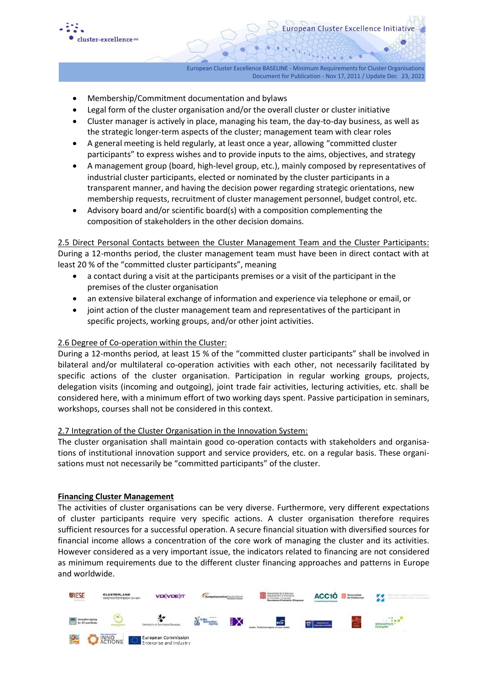

European Cluster Excellence BASELINE - Minimum Requirementsfor Cluster Organisations Document for Publication - Nov 17, 2011 / Update Dec 23, 2021

European Cluster Excellence Initiative

- Membership/Commitment documentation and bylaws
- Legal form of the cluster organisation and/or the overall cluster or cluster initiative
- Cluster manager is actively in place, managing his team, the day-to-day business, as well as the strategic longer-term aspects of the cluster; management team with clear roles
- A general meeting is held regularly, at least once a year, allowing "committed cluster participants" to express wishes and to provide inputs to the aims, objectives, and strategy
- A management group (board, high-level group, etc.), mainly composed by representatives of industrial cluster participants, elected or nominated by the cluster participants in a transparent manner, and having the decision power regarding strategic orientations, new membership requests, recruitment of cluster management personnel, budget control, etc.
- Advisory board and/or scientific board(s) with a composition complementing the composition of stakeholders in the other decision domains.

2.5 Direct Personal Contacts between the Cluster Management Team and the Cluster Participants: During a 12-months period, the cluster management team must have been in direct contact with at least 20 % of the "committed cluster participants", meaning

- a contact during a visit at the participants premises or a visit of the participant in the premises of the cluster organisation
- an extensive bilateral exchange of information and experience via telephone or email, or
- joint action of the cluster management team and representatives of the participant in specific projects, working groups, and/or other joint activities.

# 2.6 Degree of Co-operation within the Cluster:

During a 12-months period, at least 15 % of the "committed cluster participants" shall be involved in bilateral and/or multilateral co-operation activities with each other, not necessarily facilitated by specific actions of the cluster organisation. Participation in regular working groups, projects, delegation visits (incoming and outgoing), joint trade fair activities, lecturing activities, etc. shall be considered here, with a minimum effort of two working days spent. Passive participation in seminars, workshops, courses shall not be considered in this context.

# 2.7 Integration of the Cluster Organisation in the Innovation System:

The cluster organisation shall maintain good co-operation contacts with stakeholders and organisations of institutional innovation support and service providers, etc. on a regular basis. These organisations must not necessarily be "committed participants" of the cluster.

# **Financing Cluster Management**

The activities of cluster organisations can be very diverse. Furthermore, very different expectations of cluster participants require very specific actions. A cluster organisation therefore requires sufficient resources for a successful operation. A secure financial situation with diversified sources for financial income allows a concentration of the core work of managing the cluster and its activities. However considered as a very important issue, the indicators related to financing are not considered as minimum requirements due to the different cluster financing approaches and patterns in Europe and worldwide.

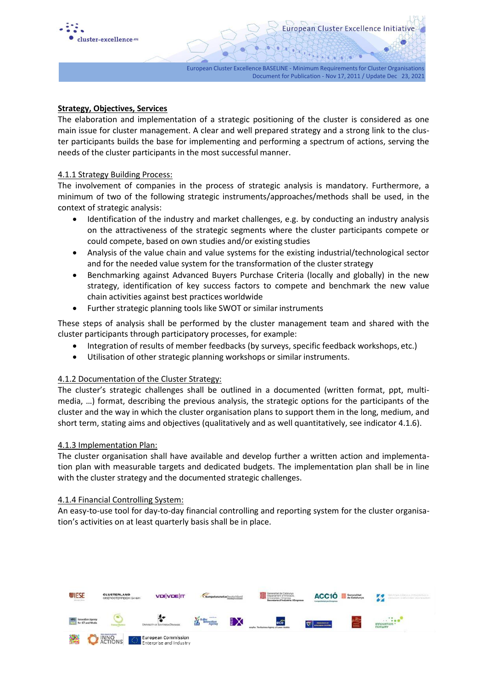

# **Strategy, Objectives, Services**

The elaboration and implementation of a strategic positioning of the cluster is considered as one main issue for cluster management. A clear and well prepared strategy and a strong link to the cluster participants builds the base for implementing and performing a spectrum of actions, serving the needs of the cluster participants in the most successful manner.

# 4.1.1 Strategy Building Process:

The involvement of companies in the process of strategic analysis is mandatory. Furthermore, a minimum of two of the following strategic instruments/approaches/methods shall be used, in the context of strategic analysis:

- Identification of the industry and market challenges, e.g. by conducting an industry analysis on the attractiveness of the strategic segments where the cluster participants compete or could compete, based on own studies and/or existing studies
- Analysis of the value chain and value systems for the existing industrial/technological sector and for the needed value system for the transformation of the cluster strategy
- Benchmarking against Advanced Buyers Purchase Criteria (locally and globally) in the new strategy, identification of key success factors to compete and benchmark the new value chain activities against best practices worldwide
- Further strategic planning tools like SWOT or similar instruments

These steps of analysis shall be performed by the cluster management team and shared with the cluster participants through participatory processes, for example:

- Integration of results of member feedbacks (by surveys, specific feedback workshops, etc.)
- Utilisation of other strategic planning workshops or similar instruments.

# 4.1.2 Documentation of the Cluster Strategy:

The cluster's strategic challenges shall be outlined in a documented (written format, ppt, multimedia, …) format, describing the previous analysis, the strategic options for the participants of the cluster and the way in which the cluster organisation plans to support them in the long, medium, and short term, stating aims and objectives (qualitatively and as well quantitatively, see indicator 4.1.6).

# 4.1.3 Implementation Plan:

The cluster organisation shall have available and develop further a written action and implementation plan with measurable targets and dedicated budgets. The implementation plan shall be in line with the cluster strategy and the documented strategic challenges.

# 4.1.4 Financial Controlling System:

An easy-to-use tool for day-to-day financial controlling and reporting system for the cluster organisation's activities on at least quarterly basis shall be in place.

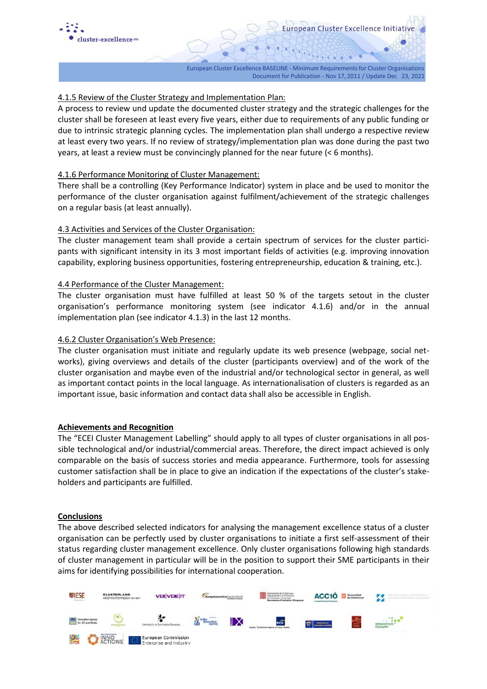

European Cluster Excellence BASELINE - Minimum Requirementsfor Cluster Organisations Document for Publication - Nov 17, 2011 / Update Dec 23, 2021

European Cluster Excellence Initiative

# 4.1.5 Review of the Cluster Strategy and Implementation Plan:

A process to review und update the documented cluster strategy and the strategic challenges for the cluster shall be foreseen at least every five years, either due to requirements of any public funding or due to intrinsic strategic planning cycles. The implementation plan shall undergo a respective review at least every two years. If no review of strategy/implementation plan was done during the past two years, at least a review must be convincingly planned for the near future (< 6 months).

# 4.1.6 Performance Monitoring of Cluster Management:

There shall be a controlling (Key Performance Indicator) system in place and be used to monitor the performance of the cluster organisation against fulfilment/achievement of the strategic challenges on a regular basis (at least annually).

# 4.3 Activities and Services of the Cluster Organisation:

The cluster management team shall provide a certain spectrum of services for the cluster participants with significant intensity in its 3 most important fields of activities (e.g. improving innovation capability, exploring business opportunities, fostering entrepreneurship, education & training, etc.).

# 4.4 Performance of the Cluster Management:

The cluster organisation must have fulfilled at least 50 % of the targets setout in the cluster organisation's performance monitoring system (see indicator 4.1.6) and/or in the annual implementation plan (see indicator 4.1.3) in the last 12 months.

# 4.6.2 Cluster Organisation's Web Presence:

The cluster organisation must initiate and regularly update its web presence (webpage, social networks), giving overviews and details of the cluster (participants overview) and of the work of the cluster organisation and maybe even of the industrial and/or technological sector in general, as well as important contact points in the local language. As internationalisation of clusters is regarded as an important issue, basic information and contact data shall also be accessible in English.

# **Achievements and Recognition**

The "ECEI Cluster Management Labelling" should apply to all types of cluster organisations in all possible technological and/or industrial/commercial areas. Therefore, the direct impact achieved is only comparable on the basis of success stories and media appearance. Furthermore, tools for assessing customer satisfaction shall be in place to give an indication if the expectations of the cluster's stakeholders and participants are fulfilled.

## **Conclusions**

The above described selected indicators for analysing the management excellence status of a cluster organisation can be perfectly used by cluster organisations to initiate a first self-assessment of their status regarding cluster management excellence. Only cluster organisations following high standards of cluster management in particular will be in the position to support their SME participants in their aims for identifying possibilities for international cooperation.

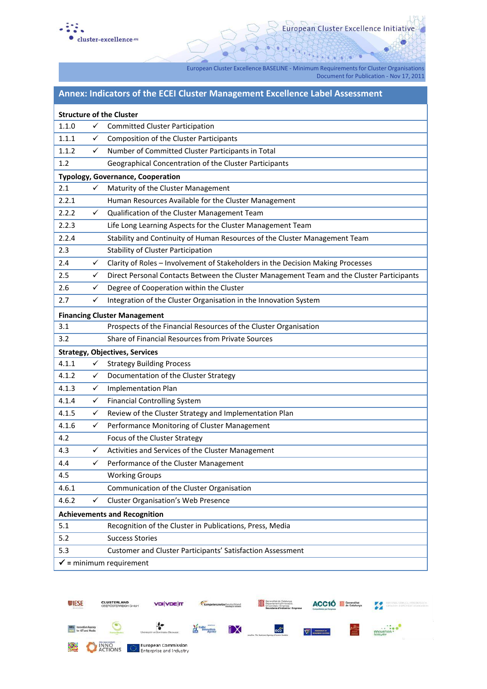



European Cluster Excellence BASELINE - Minimum Requirementsfor Cluster Organisations

**RANGE** 

Document for Publication - Nov 17, 2011

| <b>Annex: Indicators of the ECEI Cluster Management Excellence Label Assessment</b> |   |                                                                                           |
|-------------------------------------------------------------------------------------|---|-------------------------------------------------------------------------------------------|
| <b>Structure of the Cluster</b>                                                     |   |                                                                                           |
| 1.1.0                                                                               | ✓ | <b>Committed Cluster Participation</b>                                                    |
| 1.1.1                                                                               | ✓ | Composition of the Cluster Participants                                                   |
| 1.1.2                                                                               | ✓ | Number of Committed Cluster Participants in Total                                         |
| 1.2                                                                                 |   | Geographical Concentration of the Cluster Participants                                    |
| <b>Typology, Governance, Cooperation</b>                                            |   |                                                                                           |
| 2.1                                                                                 | ✓ | Maturity of the Cluster Management                                                        |
| 2.2.1                                                                               |   | Human Resources Available for the Cluster Management                                      |
| 2.2.2                                                                               | ✓ | Qualification of the Cluster Management Team                                              |
| 2.2.3                                                                               |   | Life Long Learning Aspects for the Cluster Management Team                                |
| 2.2.4                                                                               |   | Stability and Continuity of Human Resources of the Cluster Management Team                |
| 2.3                                                                                 |   | Stability of Cluster Participation                                                        |
| 2.4                                                                                 | ✓ | Clarity of Roles - Involvement of Stakeholders in the Decision Making Processes           |
| 2.5                                                                                 | ✓ | Direct Personal Contacts Between the Cluster Management Team and the Cluster Participants |
| 2.6                                                                                 | ✓ | Degree of Cooperation within the Cluster                                                  |
| 2.7                                                                                 | ✓ | Integration of the Cluster Organisation in the Innovation System                          |
| <b>Financing Cluster Management</b>                                                 |   |                                                                                           |
| 3.1                                                                                 |   | Prospects of the Financial Resources of the Cluster Organisation                          |
| 3.2                                                                                 |   | Share of Financial Resources from Private Sources                                         |
| <b>Strategy, Objectives, Services</b>                                               |   |                                                                                           |
| 4.1.1                                                                               | ✓ | <b>Strategy Building Process</b>                                                          |
| 4.1.2                                                                               | ✓ | Documentation of the Cluster Strategy                                                     |
| 4.1.3                                                                               | ✓ | <b>Implementation Plan</b>                                                                |
| 4.1.4                                                                               | ✓ | <b>Financial Controlling System</b>                                                       |
| 4.1.5                                                                               | ✓ | Review of the Cluster Strategy and Implementation Plan                                    |
| 4.1.6                                                                               | ✓ | Performance Monitoring of Cluster Management                                              |
| 4.2                                                                                 |   | Focus of the Cluster Strategy                                                             |
| 4.3                                                                                 | ✓ | Activities and Services of the Cluster Management                                         |
| 4.4                                                                                 | ✓ | Performance of the Cluster Management                                                     |
| 4.5                                                                                 |   | <b>Working Groups</b>                                                                     |
| 4.6.1                                                                               |   | Communication of the Cluster Organisation                                                 |
| 4.6.2                                                                               | ✓ | <b>Cluster Organisation's Web Presence</b>                                                |
| <b>Achievements and Recognition</b>                                                 |   |                                                                                           |
| 5.1                                                                                 |   | Recognition of the Cluster in Publications, Press, Media                                  |
| 5.2                                                                                 |   | <b>Success Stories</b>                                                                    |
| 5.3                                                                                 |   | Customer and Cluster Participants' Satisfaction Assessment                                |
| $\checkmark$ = minimum requirement                                                  |   |                                                                                           |